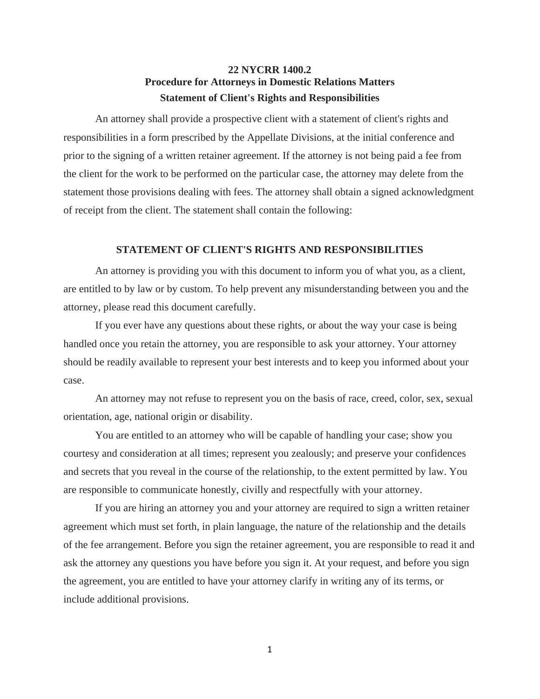## **22 NYCRR 1400.2 Procedure for Attorneys in Domestic Relations Matters Statement of Client's Rights and Responsibilities**

An attorney shall provide a prospective client with a statement of client's rights and responsibilities in a form prescribed by the Appellate Divisions, at the initial conference and prior to the signing of a written retainer agreement. If the attorney is not being paid a fee from the client for the work to be performed on the particular case, the attorney may delete from the statement those provisions dealing with fees. The attorney shall obtain a signed acknowledgment of receipt from the client. The statement shall contain the following:

## **STATEMENT OF CLIENT'S RIGHTS AND RESPONSIBILITIES**

An attorney is providing you with this document to inform you of what you, as a client, are entitled to by law or by custom. To help prevent any misunderstanding between you and the attorney, please read this document carefully.

If you ever have any questions about these rights, or about the way your case is being handled once you retain the attorney, you are responsible to ask your attorney. Your attorney should be readily available to represent your best interests and to keep you informed about your case.

An attorney may not refuse to represent you on the basis of race, creed, color, sex, sexual orientation, age, national origin or disability.

You are entitled to an attorney who will be capable of handling your case; show you courtesy and consideration at all times; represent you zealously; and preserve your confidences and secrets that you reveal in the course of the relationship, to the extent permitted by law. You are responsible to communicate honestly, civilly and respectfully with your attorney.

If you are hiring an attorney you and your attorney are required to sign a written retainer agreement which must set forth, in plain language, the nature of the relationship and the details of the fee arrangement. Before you sign the retainer agreement, you are responsible to read it and ask the attorney any questions you have before you sign it. At your request, and before you sign the agreement, you are entitled to have your attorney clarify in writing any of its terms, or include additional provisions.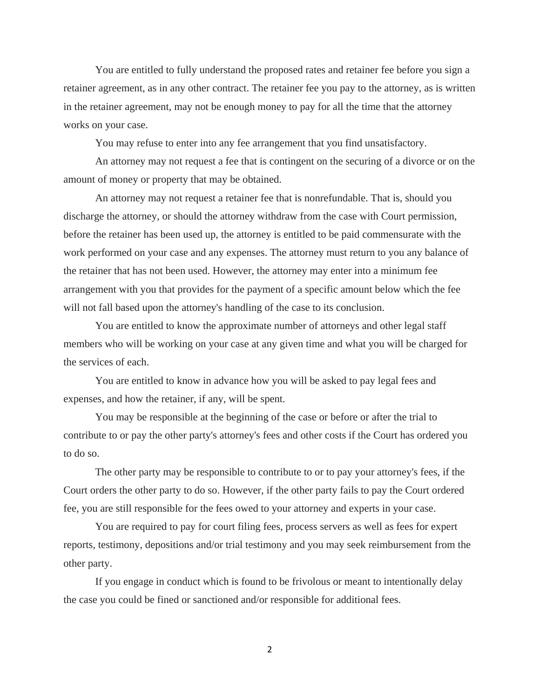You are entitled to fully understand the proposed rates and retainer fee before you sign a retainer agreement, as in any other contract. The retainer fee you pay to the attorney, as is written in the retainer agreement, may not be enough money to pay for all the time that the attorney works on your case.

You may refuse to enter into any fee arrangement that you find unsatisfactory.

An attorney may not request a fee that is contingent on the securing of a divorce or on the amount of money or property that may be obtained.

An attorney may not request a retainer fee that is nonrefundable. That is, should you discharge the attorney, or should the attorney withdraw from the case with Court permission, before the retainer has been used up, the attorney is entitled to be paid commensurate with the work performed on your case and any expenses. The attorney must return to you any balance of the retainer that has not been used. However, the attorney may enter into a minimum fee arrangement with you that provides for the payment of a specific amount below which the fee will not fall based upon the attorney's handling of the case to its conclusion.

You are entitled to know the approximate number of attorneys and other legal staff members who will be working on your case at any given time and what you will be charged for the services of each.

You are entitled to know in advance how you will be asked to pay legal fees and expenses, and how the retainer, if any, will be spent.

You may be responsible at the beginning of the case or before or after the trial to contribute to or pay the other party's attorney's fees and other costs if the Court has ordered you to do so.

The other party may be responsible to contribute to or to pay your attorney's fees, if the Court orders the other party to do so. However, if the other party fails to pay the Court ordered fee, you are still responsible for the fees owed to your attorney and experts in your case.

You are required to pay for court filing fees, process servers as well as fees for expert reports, testimony, depositions and/or trial testimony and you may seek reimbursement from the other party.

If you engage in conduct which is found to be frivolous or meant to intentionally delay the case you could be fined or sanctioned and/or responsible for additional fees.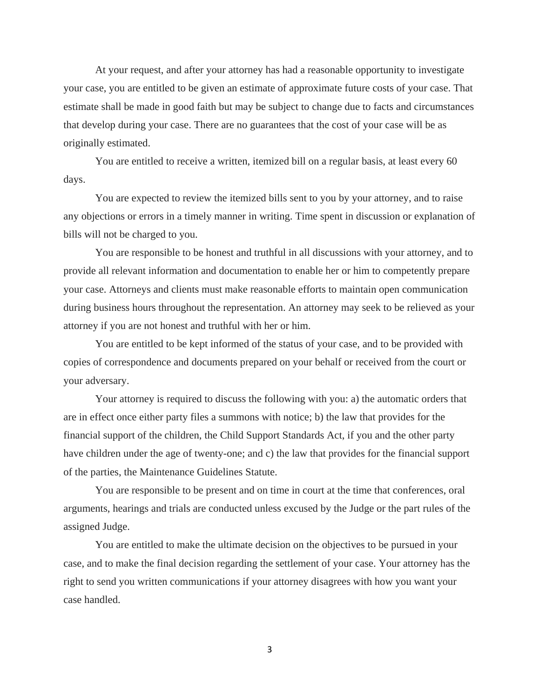At your request, and after your attorney has had a reasonable opportunity to investigate your case, you are entitled to be given an estimate of approximate future costs of your case. That estimate shall be made in good faith but may be subject to change due to facts and circumstances that develop during your case. There are no guarantees that the cost of your case will be as originally estimated.

You are entitled to receive a written, itemized bill on a regular basis, at least every 60 days.

You are expected to review the itemized bills sent to you by your attorney, and to raise any objections or errors in a timely manner in writing. Time spent in discussion or explanation of bills will not be charged to you.

You are responsible to be honest and truthful in all discussions with your attorney, and to provide all relevant information and documentation to enable her or him to competently prepare your case. Attorneys and clients must make reasonable efforts to maintain open communication during business hours throughout the representation. An attorney may seek to be relieved as your attorney if you are not honest and truthful with her or him.

You are entitled to be kept informed of the status of your case, and to be provided with copies of correspondence and documents prepared on your behalf or received from the court or your adversary.

Your attorney is required to discuss the following with you: a) the automatic orders that are in effect once either party files a summons with notice; b) the law that provides for the financial support of the children, the Child Support Standards Act, if you and the other party have children under the age of twenty-one; and c) the law that provides for the financial support of the parties, the Maintenance Guidelines Statute.

You are responsible to be present and on time in court at the time that conferences, oral arguments, hearings and trials are conducted unless excused by the Judge or the part rules of the assigned Judge.

You are entitled to make the ultimate decision on the objectives to be pursued in your case, and to make the final decision regarding the settlement of your case. Your attorney has the right to send you written communications if your attorney disagrees with how you want your case handled.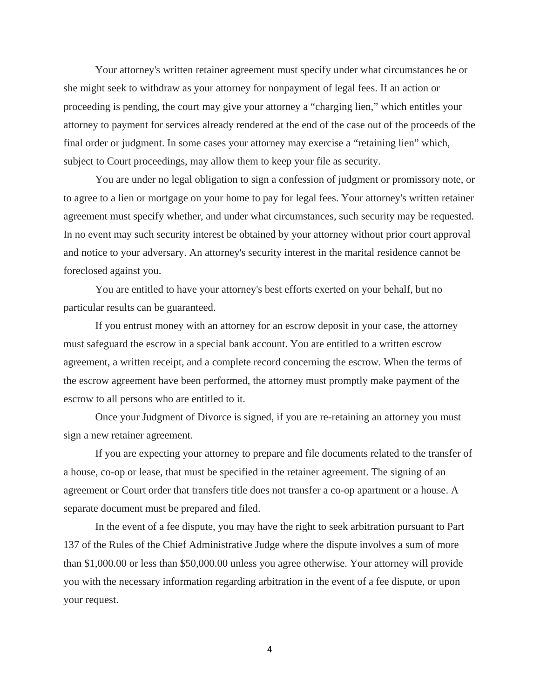Your attorney's written retainer agreement must specify under what circumstances he or she might seek to withdraw as your attorney for nonpayment of legal fees. If an action or proceeding is pending, the court may give your attorney a "charging lien," which entitles your attorney to payment for services already rendered at the end of the case out of the proceeds of the final order or judgment. In some cases your attorney may exercise a "retaining lien" which, subject to Court proceedings, may allow them to keep your file as security.

You are under no legal obligation to sign a confession of judgment or promissory note, or to agree to a lien or mortgage on your home to pay for legal fees. Your attorney's written retainer agreement must specify whether, and under what circumstances, such security may be requested. In no event may such security interest be obtained by your attorney without prior court approval and notice to your adversary. An attorney's security interest in the marital residence cannot be foreclosed against you.

You are entitled to have your attorney's best efforts exerted on your behalf, but no particular results can be guaranteed.

If you entrust money with an attorney for an escrow deposit in your case, the attorney must safeguard the escrow in a special bank account. You are entitled to a written escrow agreement, a written receipt, and a complete record concerning the escrow. When the terms of the escrow agreement have been performed, the attorney must promptly make payment of the escrow to all persons who are entitled to it.

Once your Judgment of Divorce is signed, if you are re-retaining an attorney you must sign a new retainer agreement.

If you are expecting your attorney to prepare and file documents related to the transfer of a house, co-op or lease, that must be specified in the retainer agreement. The signing of an agreement or Court order that transfers title does not transfer a co-op apartment or a house. A separate document must be prepared and filed.

In the event of a fee dispute, you may have the right to seek arbitration pursuant to Part 137 of the Rules of the Chief Administrative Judge where the dispute involves a sum of more than \$1,000.00 or less than \$50,000.00 unless you agree otherwise. Your attorney will provide you with the necessary information regarding arbitration in the event of a fee dispute, or upon your request.